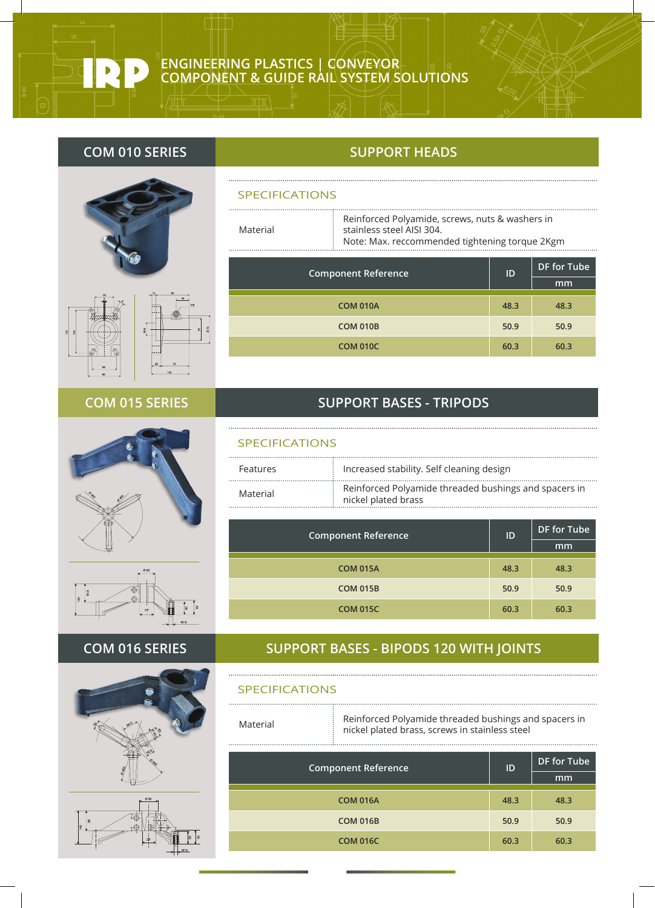# **ENGINEERING PLASTICS | CONVEYOR COMPONENT & GUIDE RAIL SYSTEM SOLUTIONS**





# **COM 015 SERIES**





# **COM 016 SERIES**





# **COM 010 SERIES SUPPORT HEADS**

#### SPECIFICATIONS

............

Material

Reinforced Polyamide, screws, nuts & washers in stainless steel AISI 304. Note: Max. reccommended tightening torque 2Kgm

| <b>Component Reference</b> | ID   | DF for Tube |
|----------------------------|------|-------------|
|                            |      | mm          |
| <b>COM 010A</b>            | 48.3 | 48.3        |
| <b>COM 010B</b>            | 50.9 | 50.9        |
| <b>COM 010C</b>            | 60.3 | 60.3        |

# **SUPPORT BASES - TRIPODS**

### SPECIFICATIONS

.....................................

| Features | $\frac{1}{2}$ Increased stability. Self cleaning design                                    |
|----------|--------------------------------------------------------------------------------------------|
| Material | Reinforced Polyamide threaded bushings and spacers in<br>$\frac{1}{2}$ nickel plated brass |

|                 | ID<br><b>Component Reference</b> | DF for Tube |  |
|-----------------|----------------------------------|-------------|--|
|                 |                                  | mm          |  |
| <b>COM 015A</b> | 48.3                             | 48.3        |  |
| <b>COM 015B</b> | 50.9                             | 50.9        |  |
| <b>COM 015C</b> | 60.3                             | 60.3        |  |

# **SUPPORT BASES - BIPODS 120 WITH JOINTS**

#### SPECIFICATIONS

Material Reinforced Polyamide threaded bushings and spacers in nickel plated brass, screws in stainless steel

| <b>Component Reference</b> | ID   | <b>DF</b> for Tube |
|----------------------------|------|--------------------|
|                            |      | mm                 |
| <b>COM 016A</b>            | 48.3 | 48.3               |
| <b>COM 016B</b>            | 50.9 | 50.9               |
| <b>COM 016C</b>            | 60.3 | 60.3               |